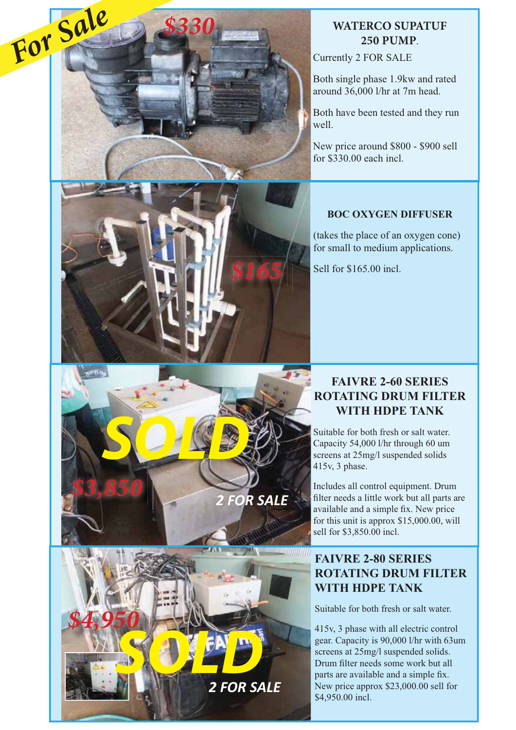

SOLD.

*\$3,850*

*\$4,950*

# **WATERCO SUPATUF 250 PUMP**.

Currently 2 FOR SALE

Both single phase 1.9kw and rated around 36,000 l/hr at 7m head.

Both have been tested and they run well.

New price around \$800 - \$900 sell for \$330.00 each incl.

#### **BOC OXYGEN DIFFUSER**

(takes the place of an oxygen cone) for small to medium applications.

Sell for \$165.00 incl.

#### **FAIVRE 2-60 SERIES ROTATING DRUM FILTER WITH HDPE TANK**

Suitable for both fresh or salt water. Capacity 54,000 l/hr through 60 um screens at 25mg/l suspended solids 415v, 3 phase.

*2 FOR SALE*

*2 FOR SALE*

**SOLD** 

Includes all control equipment. Drum filter needs a little work but all parts are available and a simple fix. New price for this unit is approx \$15,000.00, will sell for \$3,850.00 incl.

## **FAIVRE 2-80 SERIES ROTATING DRUM FILTER WITH HDPE TANK**

Suitable for both fresh or salt water.

415v, 3 phase with all electric control gear. Capacity is 90,000 l/hr with 63um screens at 25mg/l suspended solids. Drum filter needs some work but all parts are available and a simple fix. New price approx \$23,000.00 sell for \$4,950.00 incl.